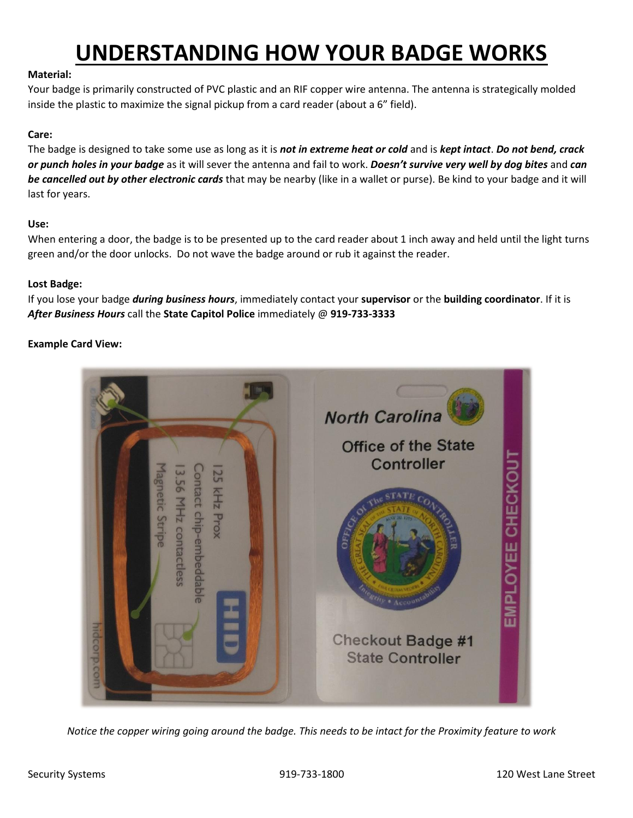# **UNDERSTANDING HOW YOUR BADGE WORKS**

#### **Material:**

Your badge is primarily constructed of PVC plastic and an RIF copper wire antenna. The antenna is strategically molded inside the plastic to maximize the signal pickup from a card reader (about a 6" field).

#### **Care:**

The badge is designed to take some use as long as it is *not in extreme heat or cold* and is *kept intact*. *Do not bend, crack or punch holes in your badge* as it will sever the antenna and fail to work. *Doesn't survive very well by dog bites* and *can be cancelled out by other electronic cards* that may be nearby (like in a wallet or purse). Be kind to your badge and it will last for years.

#### **Use:**

When entering a door, the badge is to be presented up to the card reader about 1 inch away and held until the light turns green and/or the door unlocks. Do not wave the badge around or rub it against the reader.

#### **Lost Badge:**

If you lose your badge *during business hours*, immediately contact your **supervisor** or the **building coordinator**. If it is *After Business Hours* call the **State Capitol Police** immediately @ **919-733-3333**

### **Example Card View:**



*Notice the copper wiring going around the badge. This needs to be intact for the Proximity feature to work*